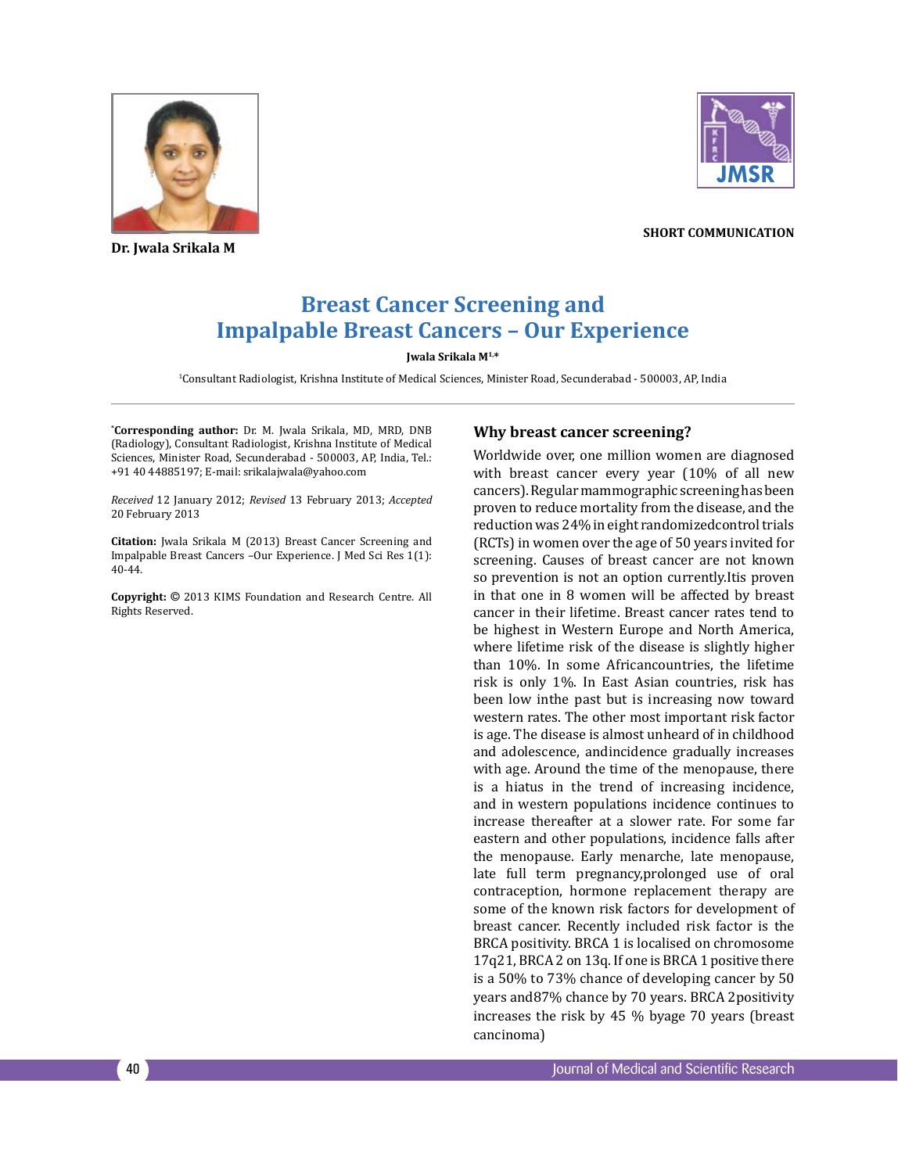

**Dr. Jwala Srikala M**



**short communication**

# **Breast Cancer Screening and Impalpable Breast Cancers – Our Experience**

#### **Jwala Srikala M1,\***

1 Consultant Radiologist, Krishna Institute of Medical Sciences, Minister Road, Secunderabad - 500003, AP, India

**\* Corresponding author:** Dr. M. Jwala Srikala, MD, MRD, DNB (Radiology), Consultant Radiologist, Krishna Institute of Medical Sciences, Minister Road, Secunderabad - 500003, AP, India, Tel.: +91 40 44885197; E-mail: srikalajwala@yahoo.com

*Received* 12 January 2012; *Revised* 13 February 2013; *Accepted*  20 February 2013

**Citation:** Jwala Srikala M (2013) Breast Cancer Screening and Impalpable Breast Cancers –Our Experience. J Med Sci Res 1(1): 40-44.

**Copyright:** © 2013 KIMS Foundation and Research Centre. All Rights Reserved.

#### **Why breast cancer screening?**

Worldwide over, one million women are diagnosed with breast cancer every year (10% of all new cancers). Regular mammographic screening has been proven to reduce mortality from the disease, and the reduction was 24% in eight randomizedcontrol trials (RCTs) in women over the age of 50 years invited for screening. Causes of breast cancer are not known so prevention is not an option currently.Itis proven in that one in 8 women will be affected by breast cancer in their lifetime. Breast cancer rates tend to be highest in Western Europe and North America, where lifetime risk of the disease is slightly higher than 10%. In some Africancountries, the lifetime risk is only 1%. In East Asian countries, risk has been low inthe past but is increasing now toward western rates. The other most important risk factor is age. The disease is almost unheard of in childhood and adolescence, andincidence gradually increases with age. Around the time of the menopause, there is a hiatus in the trend of increasing incidence, and in western populations incidence continues to increase thereafter at a slower rate. For some far eastern and other populations, incidence falls after the menopause. Early menarche, late menopause, late full term pregnancy,prolonged use of oral contraception, hormone replacement therapy are some of the known risk factors for development of breast cancer. Recently included risk factor is the BRCA positivity. BRCA 1 is localised on chromosome 17q21, BRCA 2 on 13q. If one is BRCA 1 positive there is a 50% to 73% chance of developing cancer by 50 years and87% chance by 70 years. BRCA 2positivity increases the risk by 45 % byage 70 years (breast cancinoma)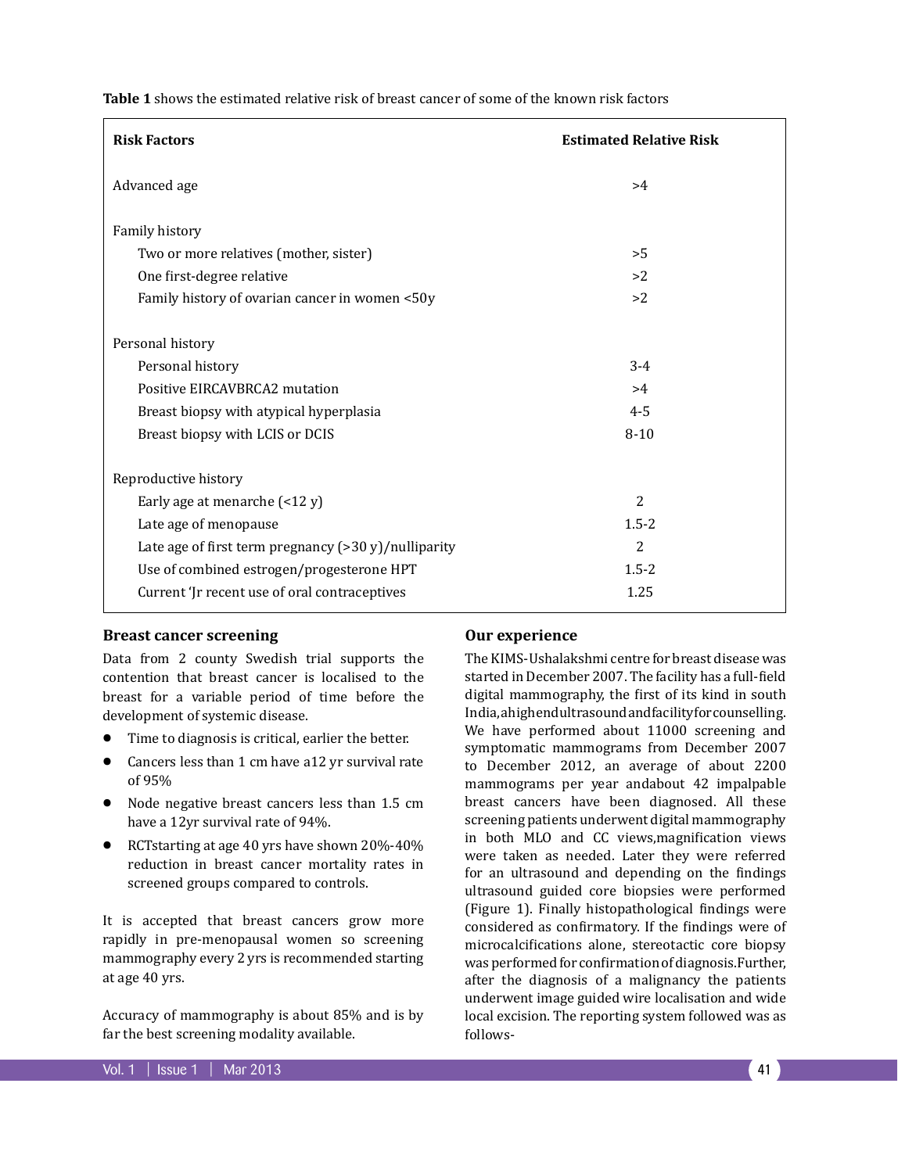**Table 1** shows the estimated relative risk of breast cancer of some of the known risk factors

| <b>Risk Factors</b>                                     | <b>Estimated Relative Risk</b> |
|---------------------------------------------------------|--------------------------------|
| Advanced age                                            | >4                             |
| Family history                                          |                                |
| Two or more relatives (mother, sister)                  | >5                             |
| One first-degree relative                               | >2                             |
| Family history of ovarian cancer in women <50y          | >2                             |
| Personal history                                        |                                |
| Personal history                                        | $3 - 4$                        |
| Positive EIRCAVBRCA2 mutation                           | >4                             |
| Breast biopsy with atypical hyperplasia                 | $4 - 5$                        |
| Breast biopsy with LCIS or DCIS                         | $8 - 10$                       |
| Reproductive history                                    |                                |
| Early age at menarche $($ < 12 y)                       | 2                              |
| Late age of menopause                                   | $1.5 - 2$                      |
| Late age of first term pregnancy $(>30 y)$ /nulliparity | 2                              |
| Use of combined estrogen/progesterone HPT               | $1.5 - 2$                      |
| Current 'Jr recent use of oral contraceptives           | 1.25                           |

#### **Breast cancer screening**

Data from 2 county Swedish trial supports the contention that breast cancer is localised to the breast for a variable period of time before the development of systemic disease.

- Time to diagnosis is critical, earlier the better.
- Cancers less than 1 cm have a12 yr survival rate of 95%
- Node negative breast cancers less than 1.5 cm have a 12yr survival rate of 94%.
- RCTstarting at age 40 yrs have shown 20%-40% reduction in breast cancer mortality rates in screened groups compared to controls.

It is accepted that breast cancers grow more rapidly in pre-menopausal women so screening mammography every 2 yrs is recommended starting at age 40 yrs.

Accuracy of mammography is about 85% and is by far the best screening modality available.

#### **Our experience**

The KIMS-Ushalakshmi centre for breast disease was started in December 2007. The facility has a full-field digital mammography, the first of its kind in south India, a high end ultrasound and facility for counselling. We have performed about 11000 screening and symptomatic mammograms from December 2007 to December 2012, an average of about 2200 mammograms per year andabout 42 impalpable breast cancers have been diagnosed. All these screening patients underwent digital mammography in both MLO and CC views,magnification views were taken as needed. Later they were referred for an ultrasound and depending on the findings ultrasound guided core biopsies were performed (Figure 1). Finally histopathological findings were considered as confirmatory. If the findings were of microcalcifications alone, stereotactic core biopsy was performed for confirmation of diagnosis.Further, after the diagnosis of a malignancy the patients underwent image guided wire localisation and wide local excision. The reporting system followed was as follows-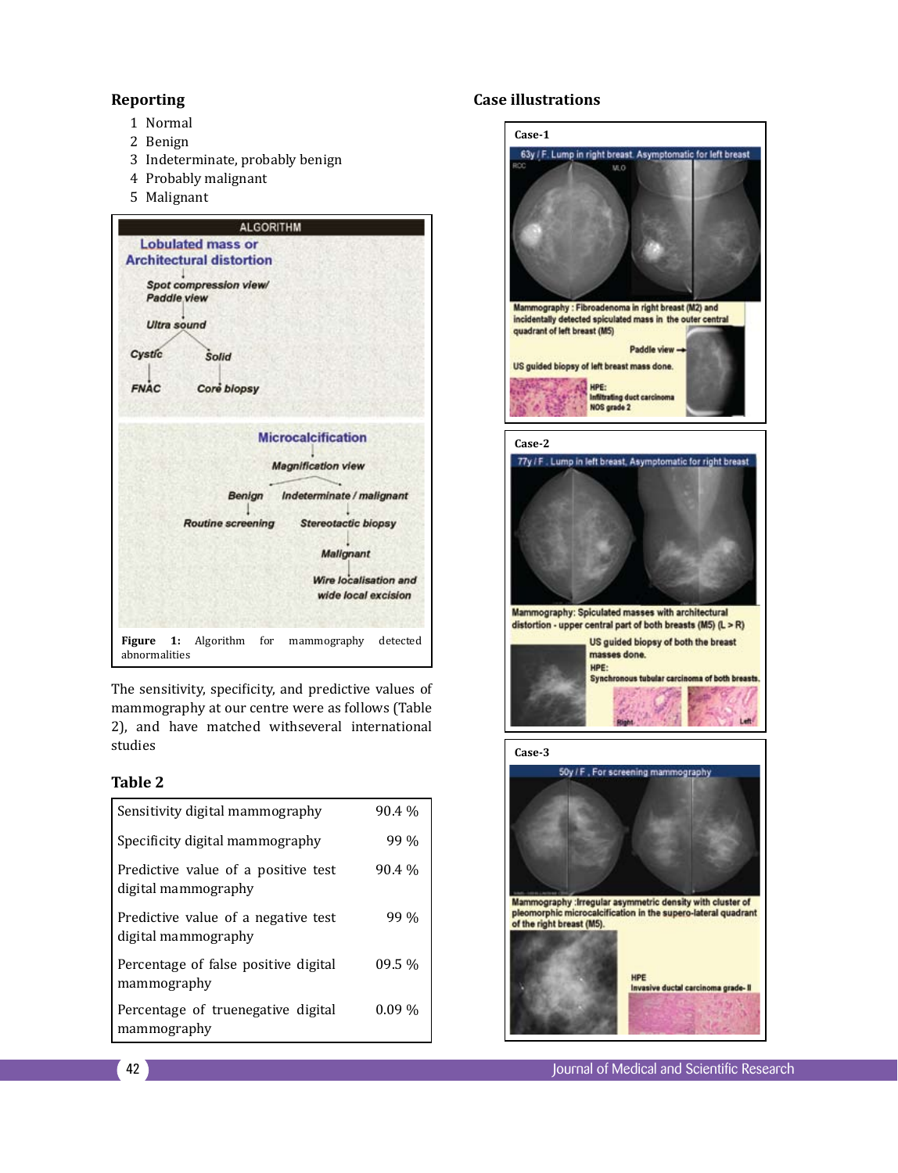### **Reporting**

- 1 Normal
- 2 Benign
- 3 Indeterminate, probably benign
- 4 Probably malignant
- 5 Malignant



The sensitivity, specificity, and predictive values of mammography at our centre were as follows (Table 2), and have matched withseveral international studies

# **Table 2**

| Sensitivity digital mammography                            | 90.4 %   |
|------------------------------------------------------------|----------|
| Specificity digital mammography                            | 99%      |
| Predictive value of a positive test<br>digital mammography | 90.4 %   |
| Predictive value of a negative test<br>digital mammography | 99 %     |
| Percentage of false positive digital<br>mammography        | $09.5\%$ |
| Percentage of truenegative digital<br>mammography          | $0.09\%$ |

# **Case illustrations**

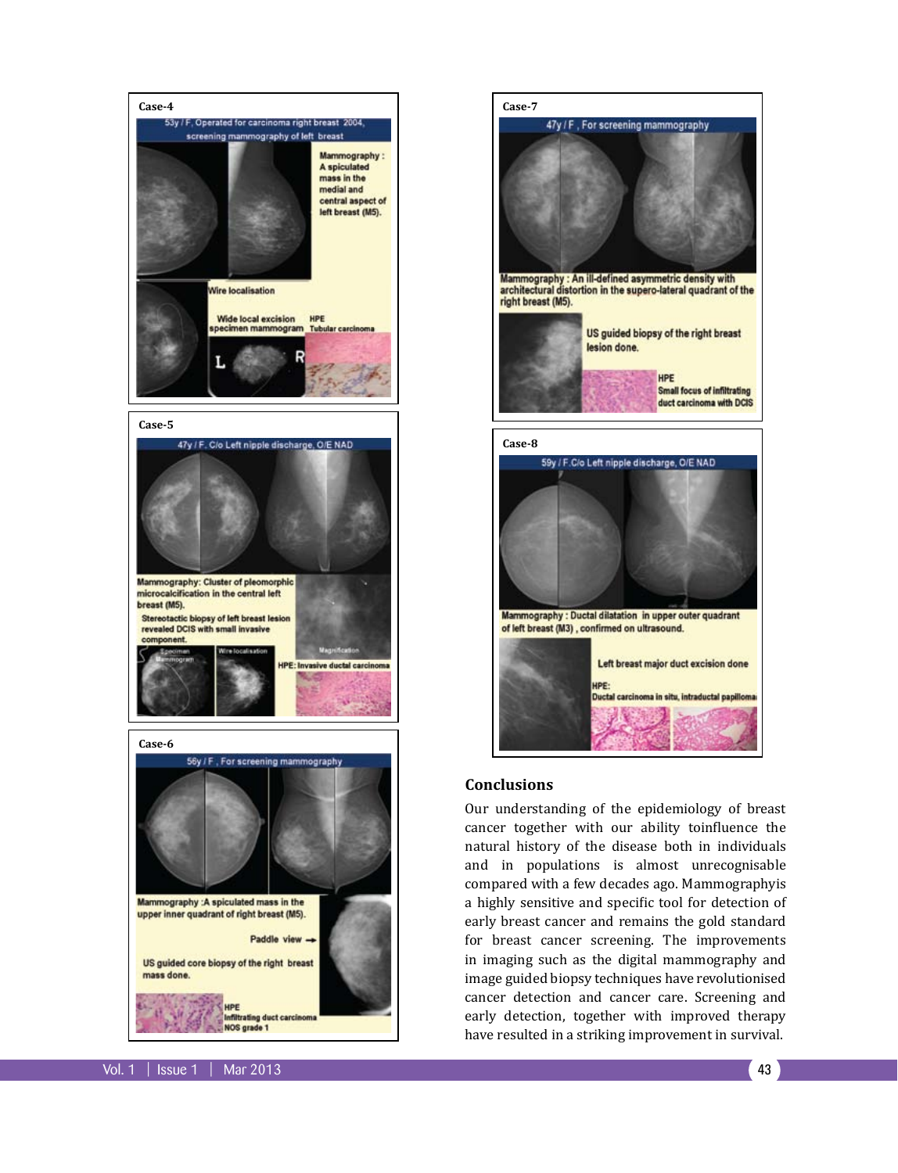

Mammography :A spiculated mass in the upper inner quadrant of right breast (M5).

Paddle view  $\rightarrow$ 

trating duct co **VOS grade 1** 

US guided core biopsy of the right breast mass done.

Mammography : An ill-defined asymmetric density with<br>architectural distortion in the supero-lateral quadrant of the right breast (M5). US guided biopsy of the right breast lesion done. HPF **Small focus of infiltrating** duct carcinoma with DCIS **Case-8** 59y / F.C/o Left nipple discharge, O/E NAD Mammography : Ductal dilatation in upper outer quadrant of left breast (M3), confirmed on ultrasound.

47y / F, For screening mammography

Left breast major duct excision done HPE: Quetal carcinoma in situ, intraductal papil

#### **Conclusions**

**Case-7**

Our understanding of the epidemiology of breast cancer together with our ability toinfluence the natural history of the disease both in individuals and in populations is almost unrecognisable compared with a few decades ago. Mammographyis a highly sensitive and specific tool for detection of early breast cancer and remains the gold standard for breast cancer screening. The improvements in imaging such as the digital mammography and image guided biopsy techniques have revolutionised cancer detection and cancer care. Screening and early detection, together with improved therapy have resulted in a striking improvement in survival.